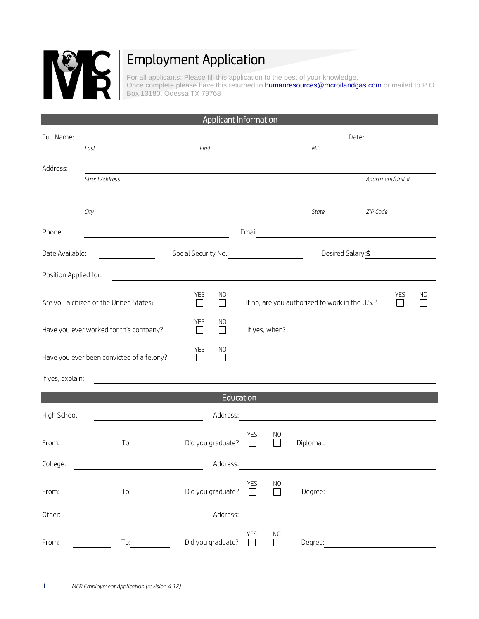

## Employment Application

For all applicants: Please fill this application to the best of your knowledge. Once complete please have this returned to **humanresources@mcroilandgas.com** or mailed to P.O. Box 13180, Odessa TX 79768

|                                                                                                                                                                                                                                                         |                                         |                                                                                                                                                                                                                                      | Applicant Information |                                                                                                                                                                                                                               |                                                                                                                      |                                                |                                                                                                                      |                  |    |  |
|---------------------------------------------------------------------------------------------------------------------------------------------------------------------------------------------------------------------------------------------------------|-----------------------------------------|--------------------------------------------------------------------------------------------------------------------------------------------------------------------------------------------------------------------------------------|-----------------------|-------------------------------------------------------------------------------------------------------------------------------------------------------------------------------------------------------------------------------|----------------------------------------------------------------------------------------------------------------------|------------------------------------------------|----------------------------------------------------------------------------------------------------------------------|------------------|----|--|
| Full Name:                                                                                                                                                                                                                                              |                                         |                                                                                                                                                                                                                                      |                       |                                                                                                                                                                                                                               | Date:                                                                                                                |                                                |                                                                                                                      |                  |    |  |
|                                                                                                                                                                                                                                                         | Last                                    | First                                                                                                                                                                                                                                |                       |                                                                                                                                                                                                                               |                                                                                                                      | M.I.                                           |                                                                                                                      |                  |    |  |
| Address:                                                                                                                                                                                                                                                |                                         |                                                                                                                                                                                                                                      |                       |                                                                                                                                                                                                                               |                                                                                                                      |                                                |                                                                                                                      |                  |    |  |
|                                                                                                                                                                                                                                                         | Street Address                          |                                                                                                                                                                                                                                      |                       |                                                                                                                                                                                                                               |                                                                                                                      |                                                |                                                                                                                      | Apartment/Unit # |    |  |
|                                                                                                                                                                                                                                                         |                                         |                                                                                                                                                                                                                                      |                       |                                                                                                                                                                                                                               |                                                                                                                      |                                                |                                                                                                                      |                  |    |  |
|                                                                                                                                                                                                                                                         | City                                    |                                                                                                                                                                                                                                      |                       |                                                                                                                                                                                                                               |                                                                                                                      | State                                          | ZIP Code                                                                                                             |                  |    |  |
| Phone:                                                                                                                                                                                                                                                  |                                         |                                                                                                                                                                                                                                      |                       | Email                                                                                                                                                                                                                         |                                                                                                                      |                                                | <u> 1980 - Jan Samuel Barbara, martin di sebagai personal di sebagai personal di sebagai personal di sebagai per</u> |                  |    |  |
| Date Available:<br><u>and a state of the state of the state of the state of the state of the state of the state of the state of the state of the state of the state of the state of the state of the state of the state of the state of the state o</u> |                                         | Social Security No.:                                                                                                                                                                                                                 |                       |                                                                                                                                                                                                                               | <u> 1990 - Jan Stein Stein Stein Stein Stein Stein Stein Stein Stein Stein Stein Stein Stein Stein Stein Stein S</u> |                                                | Desired Salary: \$                                                                                                   |                  |    |  |
| Position Applied for:                                                                                                                                                                                                                                   |                                         | <u>and the contract of the contract of the contract of the contract of the contract of the contract of the contract of the contract of the contract of the contract of the contract of the contract of the contract of the contr</u> |                       |                                                                                                                                                                                                                               |                                                                                                                      |                                                |                                                                                                                      |                  |    |  |
|                                                                                                                                                                                                                                                         | Are you a citizen of the United States? | YES<br>П                                                                                                                                                                                                                             | NO<br>П               |                                                                                                                                                                                                                               |                                                                                                                      | If no, are you authorized to work in the U.S.? |                                                                                                                      | <b>YES</b><br>П  | NO |  |
| Have you ever worked for this company?                                                                                                                                                                                                                  |                                         | YES<br>$\Box$                                                                                                                                                                                                                        | N <sub>O</sub><br>П   | If yes, when? The state of the state of the state of the state of the state of the state of the state of the state of the state of the state of the state of the state of the state of the state of the state of the state of |                                                                                                                      |                                                |                                                                                                                      |                  |    |  |
| Have you ever been convicted of a felony?                                                                                                                                                                                                               |                                         | <b>YES</b><br>П                                                                                                                                                                                                                      | NO.<br>$\perp$        |                                                                                                                                                                                                                               |                                                                                                                      |                                                |                                                                                                                      |                  |    |  |
| If yes, explain:                                                                                                                                                                                                                                        |                                         |                                                                                                                                                                                                                                      |                       |                                                                                                                                                                                                                               |                                                                                                                      |                                                |                                                                                                                      |                  |    |  |
|                                                                                                                                                                                                                                                         |                                         |                                                                                                                                                                                                                                      | Education             |                                                                                                                                                                                                                               |                                                                                                                      |                                                |                                                                                                                      |                  |    |  |
| High School:                                                                                                                                                                                                                                            |                                         |                                                                                                                                                                                                                                      | Address:              |                                                                                                                                                                                                                               |                                                                                                                      |                                                |                                                                                                                      |                  |    |  |
| From:                                                                                                                                                                                                                                                   | To:                                     | Did you graduate?                                                                                                                                                                                                                    |                       | YES<br>$\mathsf{L}$                                                                                                                                                                                                           | NO<br>L                                                                                                              | Diploma::                                      |                                                                                                                      |                  |    |  |
| College:                                                                                                                                                                                                                                                |                                         |                                                                                                                                                                                                                                      | Address:              |                                                                                                                                                                                                                               |                                                                                                                      |                                                |                                                                                                                      |                  |    |  |
| From:                                                                                                                                                                                                                                                   | To:                                     | Did you graduate?                                                                                                                                                                                                                    |                       | <b>YES</b><br>$\Box$                                                                                                                                                                                                          | N <sub>O</sub><br>$\Box$                                                                                             | Degree:                                        |                                                                                                                      |                  |    |  |
| Other:                                                                                                                                                                                                                                                  |                                         |                                                                                                                                                                                                                                      | Address:              |                                                                                                                                                                                                                               |                                                                                                                      |                                                |                                                                                                                      |                  |    |  |
| From:                                                                                                                                                                                                                                                   | To:                                     | Did you graduate?                                                                                                                                                                                                                    |                       | <b>YES</b><br>$\Box$                                                                                                                                                                                                          | N <sub>O</sub><br>П                                                                                                  | Degree:                                        |                                                                                                                      |                  |    |  |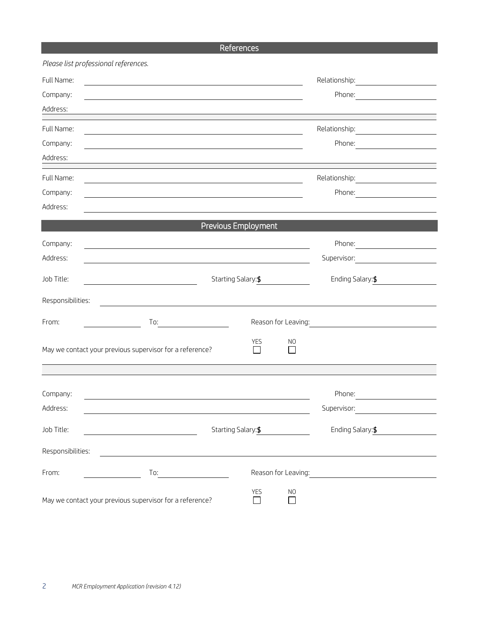## References

|                   | Please list professional references.                                                                                                                                                                                                        |                            |                                                                                                                |                                                                                                                                                                                                                                                |  |
|-------------------|---------------------------------------------------------------------------------------------------------------------------------------------------------------------------------------------------------------------------------------------|----------------------------|----------------------------------------------------------------------------------------------------------------|------------------------------------------------------------------------------------------------------------------------------------------------------------------------------------------------------------------------------------------------|--|
| Full Name:        | the control of the control of the control of the control of the control of the control of the control of the control of the control of the control of the control of the control of the control of the control of the control               |                            |                                                                                                                | Relationship:                                                                                                                                                                                                                                  |  |
| Company:          |                                                                                                                                                                                                                                             |                            |                                                                                                                | Phone:<br><u>and the state of the state of the state of the state of the state of the state of the state of the state of the state of the state of the state of the state of the state of the state of the state of the state of the state</u> |  |
| Address:          |                                                                                                                                                                                                                                             |                            |                                                                                                                |                                                                                                                                                                                                                                                |  |
| Full Name:        | and the control of the control of the control of the control of the control of the control of the control of the                                                                                                                            |                            |                                                                                                                |                                                                                                                                                                                                                                                |  |
| Company:          |                                                                                                                                                                                                                                             |                            |                                                                                                                | Phone:                                                                                                                                                                                                                                         |  |
| Address:          |                                                                                                                                                                                                                                             |                            |                                                                                                                |                                                                                                                                                                                                                                                |  |
| Full Name:        |                                                                                                                                                                                                                                             |                            |                                                                                                                | Relationship:<br><u> 1980 - Andrea Brand, amerikansk politik (</u>                                                                                                                                                                             |  |
| Company:          |                                                                                                                                                                                                                                             |                            |                                                                                                                | Phone:                                                                                                                                                                                                                                         |  |
| Address:          |                                                                                                                                                                                                                                             |                            |                                                                                                                |                                                                                                                                                                                                                                                |  |
|                   |                                                                                                                                                                                                                                             | Previous Employment        |                                                                                                                |                                                                                                                                                                                                                                                |  |
| Company:          |                                                                                                                                                                                                                                             |                            |                                                                                                                | Phone:                                                                                                                                                                                                                                         |  |
| Address:          |                                                                                                                                                                                                                                             |                            |                                                                                                                | Supervisor:                                                                                                                                                                                                                                    |  |
| Job Title:        |                                                                                                                                                                                                                                             | Starting Salary: \$        |                                                                                                                | Ending Salary: \$                                                                                                                                                                                                                              |  |
| Responsibilities: |                                                                                                                                                                                                                                             |                            |                                                                                                                |                                                                                                                                                                                                                                                |  |
| From:             | To:<br><u>and the community of the community of the community of the community of the community of the community of the community of the community of the community of the community of the community of the community of the community</u> |                            |                                                                                                                |                                                                                                                                                                                                                                                |  |
|                   | May we contact your previous supervisor for a reference?                                                                                                                                                                                    | <b>YES</b><br>$\mathsf{L}$ | N <sub>O</sub><br>$\mathsf{L}$                                                                                 |                                                                                                                                                                                                                                                |  |
|                   |                                                                                                                                                                                                                                             |                            |                                                                                                                |                                                                                                                                                                                                                                                |  |
| Company:          |                                                                                                                                                                                                                                             |                            |                                                                                                                | Phone:                                                                                                                                                                                                                                         |  |
| Address:          |                                                                                                                                                                                                                                             |                            |                                                                                                                | Supervisor:                                                                                                                                                                                                                                    |  |
| Job Title:        | <u> 1990 - Johann Barbara, martin a</u>                                                                                                                                                                                                     | Starting Salary: \$        |                                                                                                                |                                                                                                                                                                                                                                                |  |
| Responsibilities: |                                                                                                                                                                                                                                             |                            |                                                                                                                |                                                                                                                                                                                                                                                |  |
| From:             | $\begin{tabular}{c} To: & \textbf{0} & \textbf{0} & \textbf{0} & \textbf{0} & \textbf{0} \\ \hline \end{tabular}$                                                                                                                           |                            | Reason for Leaving: 1999 - 1999 - 1999 - 1999 - 1999 - 1999 - 1999 - 1999 - 1999 - 1999 - 1999 - 1999 - 1999 - |                                                                                                                                                                                                                                                |  |
|                   | May we contact your previous supervisor for a reference?                                                                                                                                                                                    | <b>YES</b><br>$\Box$       | N <sub>O</sub><br>П                                                                                            |                                                                                                                                                                                                                                                |  |